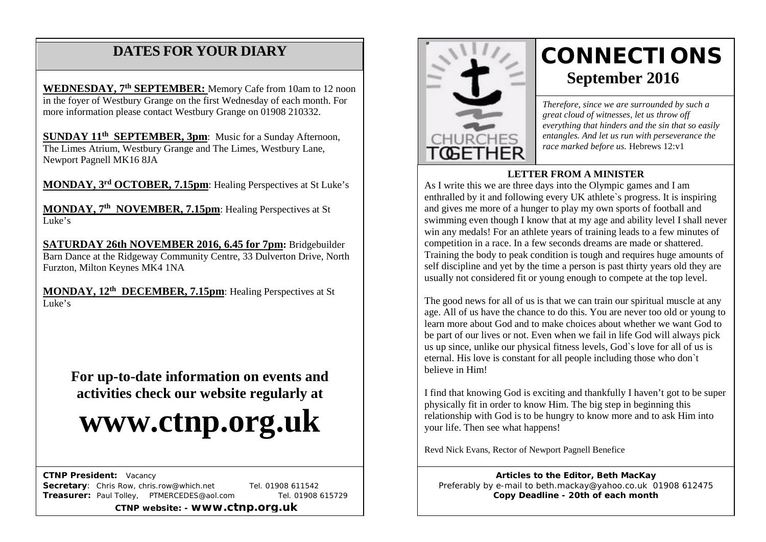#### **DATES FOR YOUR DIARY**

 more information please contact Westbury Grange on 01908 210332. **WEDNESDAY, 7th SEPTEMBER:** Memory Cafe from 10am to 12 noon in the foyer of Westbury Grange on the first Wednesday of each month. For

**SUNDAY 11<sup>th</sup> SEPTEMBER, 3pm**: Music for a Sunday Afternoon, The Limes Atrium, Westbury Grange and The Limes, Westbury Lane, Newport Pagnell MK16 8JA

**MONDAY, 3rd OCTOBER, 7.15pm**: Healing Perspectives at St Luke's

**MONDAY, 7th NOVEMBER, 7.15pm**: Healing Perspectives at St  $\overline{\text{Luke}^{\prime}\text{s}}$ 

**SATURDAY 26th NOVEMBER 2016, 6.45 for 7pm:** Bridgebuilder Barn Dance at the Ridgeway Community Centre, 33 Dulverton Drive, North Furzton, Milton Keynes MK4 1NA

**MONDAY, 12th DECEMBER, 7.15pm**: Healing Perspectives at St Luke's

**For up-to-date information on events and activities check our website regularly at**

# **www.ctnp.org.uk**

 **CTNP President:** Vacancy

**Secretary:** Chris Row, chris.row@which.net Tel. 01908 611542 **Treasurer:** Paul Tolley, PTMERCEDES@aol.com Tel. 01908 615729

**CTNP website: - www.ctnp.org.uk**



# **CONNECTIONS September 2016**

*Therefore, since we are surrounded by such a great cloud of witnesses, let us throw off everything that hinders and the sin that so easily entangles. And let us run with perseverance the race marked before us.* Hebrews 12:v1

#### **LETTER FROM A MINISTER**

As I write this we are three days into the Olympic games and I am enthralled by it and following every UK athlete`s progress. It is inspiring and gives me more of a hunger to play my own sports of football and swimming even though I know that at my age and ability level I shall never win any medals! For an athlete years of training leads to a few minutes of competition in a race. In a few seconds dreams are made or shattered. Training the body to peak condition is tough and requires huge amounts of self discipline and yet by the time a person is past thirty years old they are usually not considered fit or young enough to compete at the top level.

The good news for all of us is that we can train our spiritual muscle at any age. All of us have the chance to do this. You are never too old or young to learn more about God and to make choices about whether we want God to be part of our lives or not. Even when we fail in life God will always pick us up since, unlike our physical fitness levels, God`s love for all of us is eternal. His love is constant for all people including those who don`t believe in Him!

I find that knowing God is exciting and thankfully I haven't got to be super physically fit in order to know Him. The big step in beginning this relationship with God is to be hungry to know more and to ask Him into your life. Then see what happens!

Revd Nick Evans, Rector of Newport Pagnell Benefice

**Articles to the Editor, Beth MacKay** Preferably by e-mail to beth.mackay@yahoo.co.uk 01908 612475 **Copy Deadline - 20th of each month**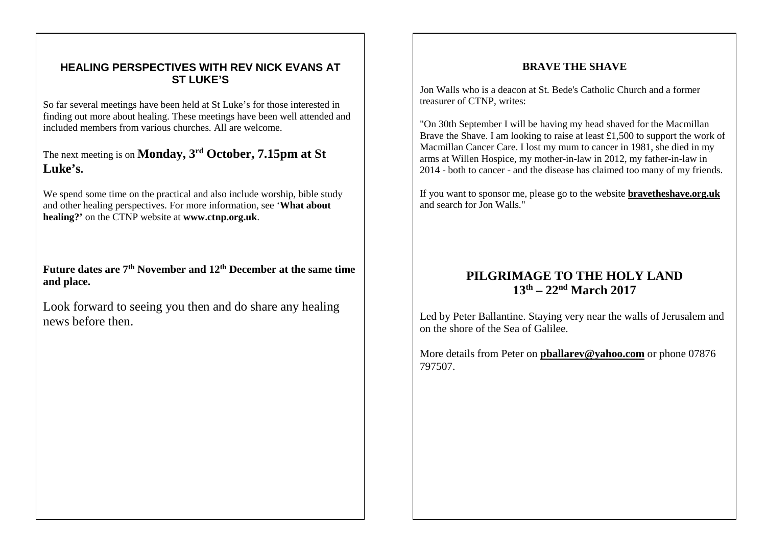#### **HEALING PERSPECTIVES WITH REV NICK EVANS AT ST LUKE'S**

So far several meetings have been held at St Luke's for those interested in finding out more about healing. These meetings have been well attended and included members from various churches. All are welcome.

#### The next meeting is on **Monday, 3rd October, 7.15pm at St Luke's.**

We spend some time on the practical and also include worship, bible study and other healing perspectives. For more information, see '**What about healing?'** on the CTNP website at **www.ctnp.org.uk**.

**Future dates are 7th November and 12th December at the same time and place.**

Look forward to seeing you then and do share any healing news before then.

#### **BRAVE THE SHAVE**

Jon Walls who is a deacon at St. Bede's Catholic Church and a former treasurer of CTNP, writes:

"On 30th September I will be having my head shaved for the Macmillan Brave the Shave. I am looking to raise at least £1,500 to support the work of Macmillan Cancer Care. I lost my mum to cancer in 1981, she died in my arms at Willen Hospice, my mother-in-law in 2012, my father-in-law in 2014 - both to cancer - and the disease has claimed too many of my friends.

If you want to sponsor me, please go to the website **bravetheshave.org.uk** and search for Jon Walls."

#### **PILGRIMAGE TO THE HOLY LAND 13th – 22nd March 2017**

Led by Peter Ballantine. Staying very near the walls of Jerusalem and on the shore of the Sea of Galilee.

More details from Peter on **[pballarev@yahoo.com](mailto:pballarev@yahoo.com)** or phone 07876 797507.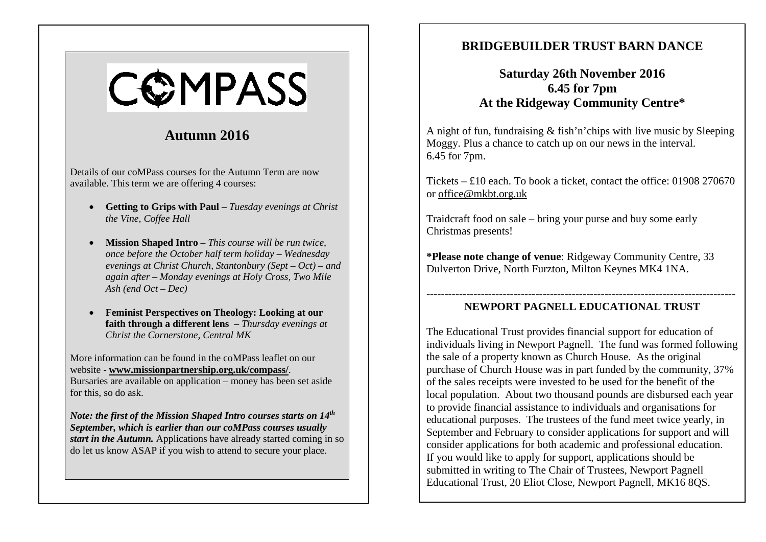# COMPASS

#### **Autumn 2016**

Details of our coMPass courses for the Autumn Term are now available. This term we are offering 4 courses:

- **Getting to Grips with Paul** *Tuesday evenings at Christ the Vine, Coffee Hall*
- **Mission Shaped Intro** *This course will be run twice, once before the October half term holiday – Wednesday evenings at Christ Church, Stantonbury (Sept – Oct) – and again after – Monday evenings at Holy Cross, Two Mile Ash (end Oct – Dec)*
- **Feminist Perspectives on Theology: Looking at our faith through a different lens** – *Thursday evenings at Christ the Cornerstone, Central MK*

More information can be found in the coMPass leaflet on our website - **www.missionpartnership.org.uk/compass/**. Bursaries are available on application – money has been set aside for this, so do ask.

*Note: the first of the Mission Shaped Intro courses starts on 14th September, which is earlier than our coMPass courses usually start in the Autumn.* Applications have already started coming in so do let us know ASAP if you wish to attend to secure your place.

#### **BRIDGEBUILDER TRUST BARN DANCE**

#### **Saturday 26th November 2016 6.45 for 7pm At the Ridgeway Community Centre\***

A night of fun, fundraising & fish'n'chips with live music by Sleeping Moggy. Plus a chance to catch up on our news in the interval. 6.45 for 7pm.

Tickets – £10 each. To book a ticket, contact the office: 01908 270670 or [office@mkbt.org.uk](mailto:office@mkbt.org.uk)

Traidcraft food on sale – bring your purse and buy some early Christmas presents!

**\*Please note change of venue**: Ridgeway Community Centre, 33 Dulverton Drive, North Furzton, Milton Keynes MK4 1NA.

#### ------------------------------------------------------------------------------------- **NEWPORT PAGNELL EDUCATIONAL TRUST**

The Educational Trust provides financial support for education of individuals living in Newport Pagnell. The fund was formed following the sale of a property known as Church House. As the original purchase of Church House was in part funded by the community, 37% of the sales receipts were invested to be used for the benefit of the local population. About two thousand pounds are disbursed each year to provide financial assistance to individuals and organisations for educational purposes. The trustees of the fund meet twice yearly, in September and February to consider applications for support and will consider applications for both academic and professional education. If you would like to apply for support, applications should be submitted in writing to The Chair of Trustees, Newport Pagnell Educational Trust, 20 Eliot Close, Newport Pagnell, MK16 8OS.